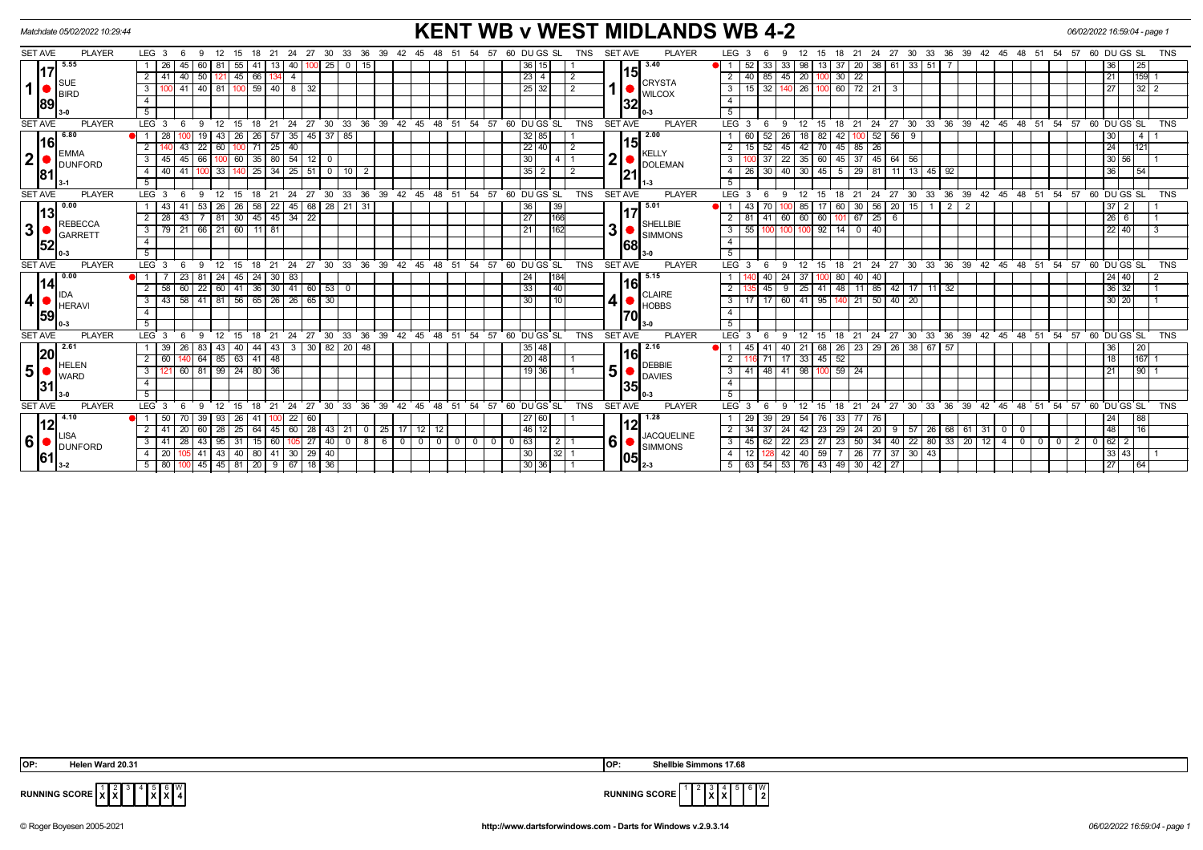| <b>KENT WB v WEST MIDLANDS WB 4-2</b><br>Matchdate 05/02/2022 10:29:44<br>06/02/2022 16:59:04 - page 1 |                                                            |                                                                                                                                |                                                                                                          |                                                                                                                                                           |                                             |  |  |  |  |
|--------------------------------------------------------------------------------------------------------|------------------------------------------------------------|--------------------------------------------------------------------------------------------------------------------------------|----------------------------------------------------------------------------------------------------------|-----------------------------------------------------------------------------------------------------------------------------------------------------------|---------------------------------------------|--|--|--|--|
| <b>SET AVE</b>                                                                                         | <b>PLAYER</b>                                              | LEG <sub>3</sub><br>12 15 18 21 24 27 30 33 36 39<br>- 6<br>-9                                                                 | <b>SET AVE</b><br><b>PLAYER</b><br>60 DU GS SL<br><b>TNS</b><br>42  45  48  51<br>54<br>- 57             | LEG <sub>3</sub><br>21 24 27 30 33 36 39 42 45 48 51<br>12<br>15<br>- 18<br>9                                                                             | 54 57 60 DU GS SL<br><b>TNS</b>             |  |  |  |  |
|                                                                                                        | 5.55                                                       | 25<br>55<br>40<br>$\mathbf{0}$<br>-26<br>45<br>15<br>60  <br>13<br>-41                                                         | $\overline{36}$ 15<br>3.40                                                                               | $38 \mid 61$<br>$\overline{33}$<br>51<br>33<br>33 I<br>13 37<br>20<br>98                                                                                  | 36<br>25                                    |  |  |  |  |
|                                                                                                        |                                                            | $50$   121   45   66   134   4<br>$\overline{2}$<br>40                                                                         | $23 \mid 4$<br>2                                                                                         | 40 85<br>45 20<br>$30 \mid 22$<br>2<br>100                                                                                                                | 21<br>159 1                                 |  |  |  |  |
| 1 <sup>1</sup>                                                                                         | <b>BIRD</b><br>189                                         | $40$ 81<br>$59$   40   8   32<br> 41 <br>3<br>100                                                                              | <b>CRYSTA</b><br>1<br>25 32<br>2<br><b>WILCOX</b>                                                        | 60 72 21<br>32<br>26<br>3<br>15 <sup>1</sup><br>$\mathbf{3}$<br>100                                                                                       | $32$   2<br>27                              |  |  |  |  |
|                                                                                                        |                                                            | $\overline{4}$                                                                                                                 | 132                                                                                                      | $\overline{4}$                                                                                                                                            |                                             |  |  |  |  |
|                                                                                                        |                                                            | 5                                                                                                                              |                                                                                                          | 5                                                                                                                                                         |                                             |  |  |  |  |
| <b>SET AVE</b>                                                                                         | <b>PLAYER</b>                                              | $LEG$ 3<br>30<br>33<br>$36^\circ$<br>ີ 39<br>21<br>24<br>27                                                                    | 42 45<br>54<br>57<br>60 DUGS SL<br><b>TNS</b><br><b>SET AVE</b><br><b>PLAYER</b><br>-48<br>51            | LEG <sub>3</sub><br>24<br>$30^{\circ}$<br>33 36 39<br>$42 \quad 45$<br>21<br>$^{\circ}$ 27<br>48<br>- 51<br>15<br>18                                      | 54 57 60 DUGS SL<br><b>TNS</b>              |  |  |  |  |
|                                                                                                        | 6.80<br><u> 116</u><br><b>EMMA</b><br><b>DUNFORD</b><br>81 | $57 \mid 35$<br>26<br>45   37   85<br>-28<br>43<br>26                                                                          | 2.00<br>32 85                                                                                            | 82<br>52<br>56<br>52<br>42<br>-9                                                                                                                          | $\overline{4}$<br>30                        |  |  |  |  |
|                                                                                                        |                                                            | $\overline{43}$<br>22 60 100 71 25 40<br>$\overline{2}$                                                                        | $22$ 40<br>$\sqrt{2}$                                                                                    | 45 42 70 45 85 26<br>$15 \mid 52$                                                                                                                         | 24<br>1121                                  |  |  |  |  |
| 2                                                                                                      |                                                            | $35$ 80 $\overline{54}$ 12 0<br>45<br>66 100 60<br>3 <sup>1</sup><br>$45 \vert$                                                | KELLY<br>2<br>30<br>4   1<br><b>DOLEMAN</b>                                                              | $22 \mid 35 \mid 60 \mid 45 \mid 37 \mid 45 \mid 64 \mid 56$<br>$\overline{37}$<br>3                                                                      | 30 56                                       |  |  |  |  |
|                                                                                                        |                                                            | $25 \mid 34 \mid 25 \mid 51 \mid 0 \mid 10 \mid 2$<br>41<br>33<br>$\overline{4}$<br>40<br>140                                  | $35$   2<br>$\overline{2}$<br>21                                                                         | 40 30 45<br>$5 \mid 29 \mid 81 \mid 11 \mid 13 \mid$<br>$45 \mid 92$<br>30<br>$\overline{4}$<br><b>26</b>                                                 | 36<br>54                                    |  |  |  |  |
|                                                                                                        |                                                            | 5                                                                                                                              | l 1-3                                                                                                    | $\overline{5}$                                                                                                                                            |                                             |  |  |  |  |
| <b>SET AVE</b>                                                                                         | <b>PLAYER</b>                                              | LEG <sub>3</sub><br>24 27<br>$\degree$ 30 $\degree$<br>33<br>່ 6<br>$^{\circ}$ 12<br>15<br>18<br>21<br>9                       | 54.57<br>$36 \t39 \t42 \t45 \t48 \t51$<br>60 DU GS SL<br><b>TNS</b><br><b>SET AVE</b><br><b>PLAYER</b>   | LEG <sub>3</sub><br>21<br>24 27 30<br>33 36 39 42 45 48 51<br>6<br>12<br>15<br>18<br>9                                                                    | $54$ $57$ $60$ $DU$ $GS$ $SL$<br><b>TNS</b> |  |  |  |  |
|                                                                                                        | 0.00                                                       | 45 68 28 21 31<br>$58$   22<br>41<br>$53 \mid 26$<br>26<br>l 43 l                                                              | 5.01<br>36<br>39                                                                                         | $56$   20   15  <br>$\overline{2}$<br>$\sqrt{2}$<br>60<br>30 <sup>1</sup><br>$\mathbf{1}$<br>43<br>17                                                     | $37$   2                                    |  |  |  |  |
|                                                                                                        | 13                                                         | $81 \overline{)30}$<br>45 45 34 22<br>$\overline{2}$<br>$\overline{28}$<br>43                                                  | 27<br>166                                                                                                | $\overline{25}$<br>60<br>$\overline{2}$<br>41<br>60 60<br>6                                                                                               | $26$ 6                                      |  |  |  |  |
| 3 <sup>1</sup>                                                                                         | <b>REBECCA</b><br><b>GARRETT</b><br>52                     | $3   79   21   66   21   60   11   81$                                                                                         | SHELLBIE<br>3<br>21<br>162<br><b>SIMMONS</b>                                                             | $00 \t92 \t14 \t0 \t40$<br>$\overline{\mathbf{3}}$<br>55<br>100                                                                                           | $\overline{22}$ 40                          |  |  |  |  |
|                                                                                                        |                                                            | $\overline{4}$                                                                                                                 | 168                                                                                                      | $\overline{4}$                                                                                                                                            |                                             |  |  |  |  |
|                                                                                                        |                                                            | 5                                                                                                                              |                                                                                                          | $\overline{5}$                                                                                                                                            |                                             |  |  |  |  |
| <b>SET AVE</b>                                                                                         | <b>PLAYER</b>                                              | LEG <sub>3</sub><br>15<br>12<br>18<br>- 6                                                                                      | 21 24 27 30 33 36 39 42 45 48 51 54 57 60 DUGS SL<br><b>TNS</b><br><b>SET AVE</b><br><b>PLAYER</b>       | 18 21 24 27 30 33 36 39 42 45 48 51 54 57 60 DUGS SL<br>LEG <sub>3</sub><br>15<br>12 <sup>12</sup>                                                        | <b>TNS</b>                                  |  |  |  |  |
|                                                                                                        | 0.00<br> 14<br><b>HERAVI</b><br>59                         | 23<br>81 24 45 24 30 83<br>$\blacksquare$                                                                                      | 5.15<br>24<br>184                                                                                        | 24 37<br>80 40<br>40<br>40 l<br>100                                                                                                                       | 24 40                                       |  |  |  |  |
|                                                                                                        |                                                            | 22 60 41 36 30 41 60 53 0<br>$\overline{2}$<br>58<br>60                                                                        | l16l<br>33<br>40                                                                                         | 25 41 48 11 85 42 17 11 32<br>2<br>45<br>-9                                                                                                               | 36 32                                       |  |  |  |  |
| 4                                                                                                      |                                                            | 58<br>41   81   56   65   26   26   65   30<br>$\mathbf{3}$<br> 43                                                             | <b>CLAIRE</b><br>HOBBS<br>4 <br>30<br>10                                                                 | 50   40   20<br>60 41 95<br>3<br>17<br>$\sqrt{21}$<br>140                                                                                                 | 30 20                                       |  |  |  |  |
|                                                                                                        |                                                            | $\overline{4}$                                                                                                                 |                                                                                                          | $\overline{4}$                                                                                                                                            |                                             |  |  |  |  |
|                                                                                                        |                                                            | 5                                                                                                                              |                                                                                                          | 5                                                                                                                                                         |                                             |  |  |  |  |
| <b>SET AVE</b>                                                                                         | <b>PLAYER</b>                                              | $30^{-1}$<br>33<br>$36 \quad 39$<br>24<br>27<br>LEG <sub>3</sub><br>21                                                         | $42 \quad 45 \quad 48$<br>51<br>54<br>57<br>60 DU GS SL<br><b>TNS</b><br><b>SET AVE</b><br><b>PLAYER</b> | 27<br>$30^{\circ}$<br>33 36 39<br><b>LEG</b><br>21<br>24<br>$42 \t 45 \t 48$<br>່ 51<br>15<br>18                                                          | 54<br>57<br>60 DUGS SL<br><b>TNS</b>        |  |  |  |  |
|                                                                                                        | 2.61                                                       | 44 43 3 30 82 20 48<br>-26<br>83 43 40<br>-39 I                                                                                | 2.16<br>35 48                                                                                            | 40 21 68 26 23 29 26 38 67 57<br>41                                                                                                                       | 36 <sup>1</sup><br>20                       |  |  |  |  |
|                                                                                                        | 20<br><b>HELEN</b><br><b>WARD</b><br>31                    | $64$ 85 63 41 48<br>2<br>60<br>140                                                                                             | 20 48                                                                                                    | $17 \mid 33 \mid 45 \mid$<br>671<br>52                                                                                                                    | 18<br>167                                   |  |  |  |  |
| 5 <sup>1</sup>                                                                                         |                                                            | 81   99   24   80   36<br>60<br>$\mathbf{3}$                                                                                   | <b>DEBBIE</b><br>5<br>19 36<br><b>DAVIES</b>                                                             | $-48$<br>41<br>98 <sup>1</sup><br>$59 \mid 24$<br>3<br>41<br>100                                                                                          | 90 <br>21                                   |  |  |  |  |
|                                                                                                        |                                                            | $\overline{4}$                                                                                                                 | 135I                                                                                                     | $\overline{4}$                                                                                                                                            |                                             |  |  |  |  |
|                                                                                                        |                                                            | 5                                                                                                                              |                                                                                                          | 5                                                                                                                                                         |                                             |  |  |  |  |
| <b>SET AVE</b>                                                                                         | <b>PLAYER</b>                                              | LEG <sub>3</sub><br>30<br>33<br>ີ 36<br>39<br>42<br>12<br>15<br>18<br>21<br>24<br>27<br>- 6<br>$\mathbf{Q}$                    | <b>PLAYER</b><br>54<br>57<br>60 DU GS SL<br><b>TNS</b><br><b>SET AVE</b><br>45<br>- 48<br>51             | LEG <sub>3</sub><br>24<br>$30^{\circ}$<br>33<br>36<br>$\cdot$ 39<br>$42 \quad 45$<br>51<br>12 <sup>12</sup><br>15<br>18<br>21<br>27<br>48<br>$\mathbf{Q}$ | 54<br>57<br>60 DUGS SL<br><b>TNS</b>        |  |  |  |  |
|                                                                                                        | 4.10<br>LISA<br><b>DUNFORD</b><br>61                       | $39 \mid 93 \mid 26$<br>100   22   60<br>$\blacksquare$<br>50   70<br>-41                                                      | l 1.28<br>27 60                                                                                          | 29 54 76<br>$33 \mid 77 \mid 76$<br>29 39                                                                                                                 | 88 <br>24                                   |  |  |  |  |
|                                                                                                        |                                                            | 64 45 60 28 43 21 0 25 17 12 12<br>2 41 20<br>$60$   28   25                                                                   | 46 12<br><b>JACQUELINE</b>                                                                               | 24 42 23 29 24 20 9 57 26 68 61 31<br>2<br>34 37<br>$\overline{\phantom{0}}$<br>ΙO                                                                        | 48<br> 16                                   |  |  |  |  |
| 6                                                                                                      |                                                            | 0 8 6 0<br>3   41   28<br>43 95 31<br>$105$ 27<br> 40 <br>15 I<br>60 I                                                         | $6 \mid$<br>63<br>$\overline{0}$<br>2 1<br>$\mathbf{0}$<br><b>SIMMONS</b>                                | $\frac{23}{50}$ 50 $\frac{34}{40}$ $\frac{40}{22}$ 80 $\frac{33}{20}$ $\frac{20}{12}$ $\frac{4}{0}$<br>3<br>22 23 27<br>$\overline{0}$<br>45 62           | 62 2<br> 0 2 0                              |  |  |  |  |
|                                                                                                        |                                                            | 41 43 40<br>80   41   30  <br>$\begin{array}{ c c } \hline 29 & 40 \\ \hline \end{array}$<br>$\overline{4}$<br>20 <sup>1</sup> | 30<br>$32$   1<br> 05                                                                                    | 77 37 30 43<br>40 59<br>26<br>$\overline{4}$<br>12 <sup>1</sup><br>42 I                                                                                   | 33 43                                       |  |  |  |  |
|                                                                                                        |                                                            | $5 \ 80$<br>45 45 81 20 9 67 18 36                                                                                             | 30 36<br>$2-3$                                                                                           | 5 63 54 53 76 43 49 30 42 27                                                                                                                              | 27<br>64                                    |  |  |  |  |



 4 5 **X** 6 **X** W



**RUNNING SCORE**  $\begin{bmatrix} 1 \\ \mathbf{X} \end{bmatrix} \begin{bmatrix} 2 \\ \mathbf{X} \end{bmatrix}$